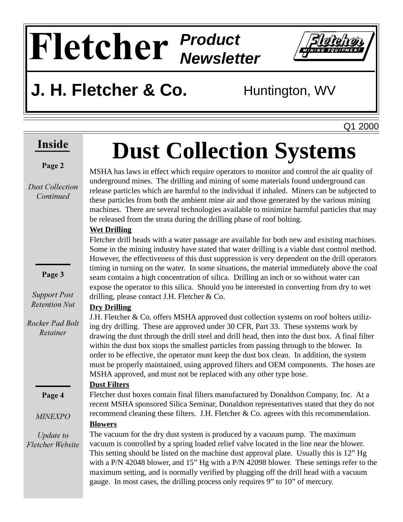# **Fletcher** Product **Newsletter**



## **J. H. Fletcher & Co.** Huntington, WV

Q1 2000

## **Inside**

#### Page 2

*Dust Collection* Continued

Page 3

**Support Post** *Retention Nut* 

**Rocker Pad Bolt** *Retainer* 

Page 4

**MINEXPO** 

Update to *Fletcher Website* 

# **Dust Collection Systems**

MSHA has laws in effect which require operators to monitor and control the air quality of underground mines. The drilling and mining of some materials found underground can release particles which are harmful to the individual if inhaled. Miners can be subjected to these particles from both the ambient mine air and those generated by the various mining machines. There are several technologies available to minimize harmful particles that may be released from the strata during the drilling phase of roof bolting.

#### **Wet Drilling**

Fletcher drill heads with a water passage are available for both new and existing machines. Some in the mining industry have stated that water drilling is a viable dust control method. However, the effectiveness of this dust suppression is very dependent on the drill operators timing in turning on the water. In some situations, the material immediately above the coal seam contains a high concentration of silica. Drilling an inch or so without water can expose the operator to this silica. Should you be interested in converting from dry to wet drilling, please contact J.H. Fletcher & Co.

#### **Dry Drilling**

J.H. Fletcher & Co. offers MSHA approved dust collection systems on roof bolters utilizing dry drilling. These are approved under 30 CFR, Part 33. These systems work by drawing the dust through the drill steel and drill head, then into the dust box. A final filter within the dust box stops the smallest particles from passing through to the blower. In order to be effective, the operator must keep the dust box clean. In addition, the system must be properly maintained, using approved filters and OEM components. The hoses are MSHA approved, and must not be replaced with any other type hose.

#### **Dust Filters**

Fletcher dust boxes contain final filters manufactured by Donaldson Company, Inc. At a recent MSHA sponsored Silica Seminar, Donaldson representatives stated that they do not recommend cleaning these filters. J.H. Fletcher & Co. agrees with this recommendation.

#### **Blowers**

The vacuum for the dry dust system is produced by a vacuum pump. The maximum vacuum is controlled by a spring loaded relief valve located in the line near the blower. This setting should be listed on the machine dust approval plate. Usually this is 12" Hg with a P/N 42048 blower, and 15" Hg with a P/N 42098 blower. These settings refer to the maximum setting, and is normally verified by plugging off the drill head with a vacuum gauge. In most cases, the drilling process only requires 9" to 10" of mercury.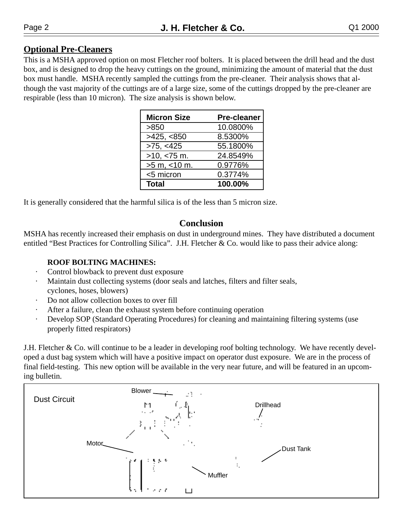#### **Optional Pre-Cleaners**

This is a MSHA approved option on most Fletcher roof bolters. It is placed between the drill head and the dust box, and is designed to drop the heavy cuttings on the ground, minimizing the amount of material that the dust box must handle. MSHA recently sampled the cuttings from the pre-cleaner. Their analysis shows that although the vast majority of the cuttings are of a large size, some of the cuttings dropped by the pre-cleaner are respirable (less than 10 micron). The size analysis is shown below.

| <b>Micron Size</b> | <b>Pre-cleaner</b> |
|--------------------|--------------------|
| >850               | 10.0800%           |
| >425, <850         | 8.5300%            |
| >75, <425          | 55.1800%           |
| $>10,$ <75 m.      | 24.8549%           |
| $>5$ m, $<$ 10 m.  | 0.9776%            |
| <5 micron          | 0.3774%            |
| <b>Total</b>       | 100.00%            |

It is generally considered that the harmful silica is of the less than 5 micron size.

#### **Conclusion**

MSHA has recently increased their emphasis on dust in underground mines. They have distributed a document entitled "Best Practices for Controlling Silica". J.H. Fletcher & Co. would like to pass their advice along:

#### **ROOF BOLTING MACHINES:**

- Control blowback to prevent dust exposure
- Maintain dust collecting systems (door seals and latches, filters and filter seals, cyclones, hoses, blowers)
- Do not allow collection boxes to over fill
- After a failure, clean the exhaust system before continuing operation
- Develop SOP (Standard Operating Procedures) for cleaning and maintaining filtering systems (use properly fitted respirators)

J.H. Fletcher & Co. will continue to be a leader in developing roof bolting technology. We have recently developed a dust bag system which will have a positive impact on operator dust exposure. We are in the process of final field-testing. This new option will be available in the very near future, and will be featured in an upcoming bulletin.

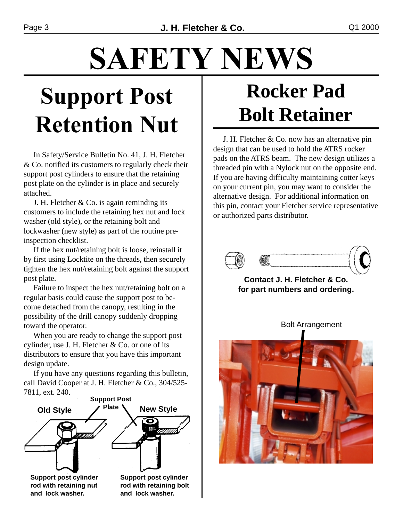# **SAFETY NEWS**

# **Support Post Retention Nut**

In Safety/Service Bulletin No. 41, J. H. Fletcher & Co. notified its customers to regularly check their support post cylinders to ensure that the retaining post plate on the cylinder is in place and securely attached.

J. H. Fletcher  $& Co.$  is again reminding its customers to include the retaining hex nut and lock washer (old style), or the retaining bolt and lockwasher (new style) as part of the routine preinspection checklist.

 If the hex nut/retaining bolt is loose, reinstall it by first using Locktite on the threads, then securely tighten the hex nut/retaining bolt against the support post plate.

 Failure to inspect the hex nut/retaining bolt on a regular basis could cause the support post to become detached from the canopy, resulting in the possibility of the drill canopy suddenly dropping toward the operator.

 When you are ready to change the support post cylinder, use J. H. Fletcher & Co. or one of its distributors to ensure that you have this important design update.

 If you have any questions regarding this bulletin, call David Cooper at J. H. Fletcher & Co., 304/525- 7811, ext. 240.



**and lock washer.**

**and lock washer.**

## **Rocker Pad Bolt Retainer**

 J. H. Fletcher & Co. now has an alternative pin design that can be used to hold the ATRS rocker pads on the ATRS beam. The new design utilizes a threaded pin with a Nylock nut on the opposite end. If you are having difficulty maintaining cotter keys on your current pin, you may want to consider the alternative design. For additional information on this pin, contact your Fletcher service representative or authorized parts distributor.



**Contact J. H. Fletcher & Co. for part numbers and ordering.**



Bolt Arrangement